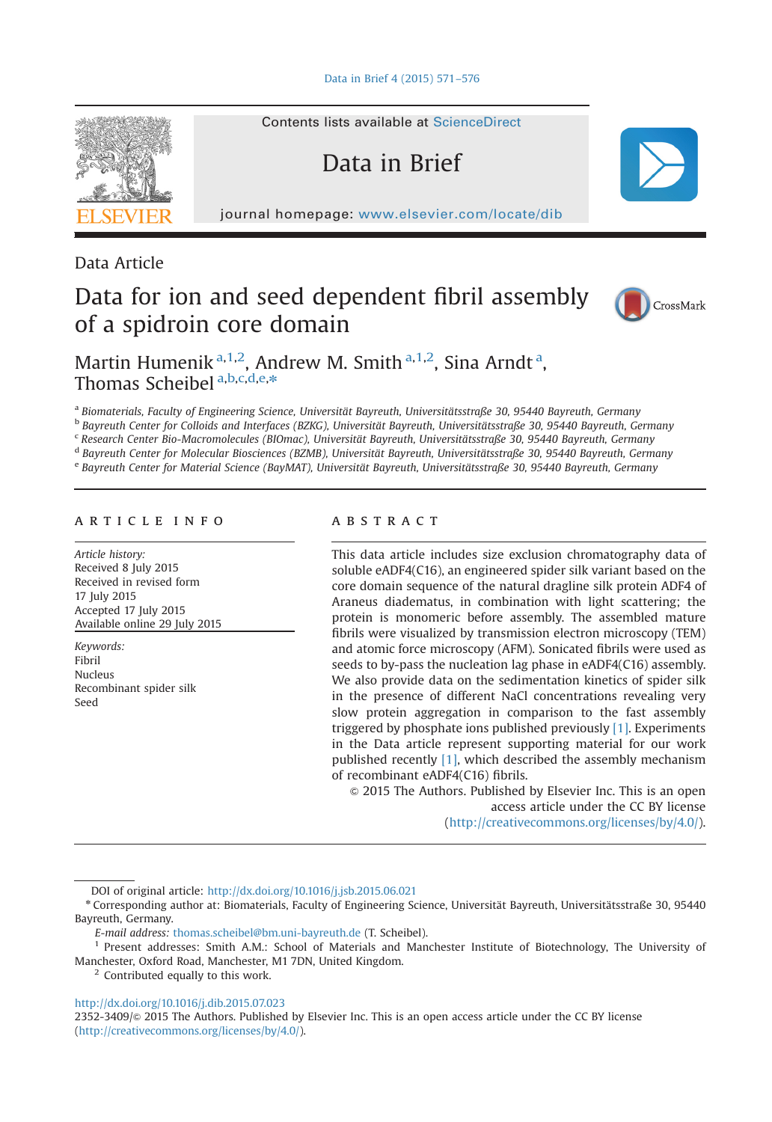[Data in Brief 4 \(2015\) 571](http://dx.doi.org/10.1016/j.dib.2015.07.023)–576



Contents lists available at [ScienceDirect](www.elsevier.com/locate/dib)

# Data in Brief

journal homepage: <www.elsevier.com/locate/dib>

Data Article

# Data for ion and seed dependent fibril assembly of a spidroin core domain



Martin Humenik<sup>a, 1, 2</sup>, Andrew M. Smith<sup>a, 1, 2</sup>, Sina Arndt<sup>a</sup>, Thomas Scheibel a,b,c,d,e,\*

a Biomaterials, Faculty of Engineering Science, Universität Bayreuth, Universitätsstraße 30, 95440 Bayreuth, Germany

<sup>b</sup> Bayreuth Center for Colloids and Interfaces (BZKG), Universität Bayreuth, Universitätsstraße 30, 95440 Bayreuth, Germany

<sup>c</sup> Research Center Bio-Macromolecules (BIOmac), Universität Bayreuth, Universitätsstraße 30, 95440 Bayreuth, Germany <sup>d</sup> Bayreuth Center for Molecular Biosciences (BZMB), Universität Bayreuth, Universitätsstraße 30, 95440 Bayreuth, Germany

<sup>e</sup> Bayreuth Center for Material Science (BayMAT), Universität Bayreuth, Universitätsstraße 30, 95440 Bayreuth, Germany

## article info

Article history: Received 8 July 2015 Received in revised form 17 July 2015 Accepted 17 July 2015 Available online 29 July 2015

Keywords: Fibril Nucleus Recombinant spider silk Seed

# **ABSTRACT**

This data article includes size exclusion chromatography data of soluble eADF4(C16), an engineered spider silk variant based on the core domain sequence of the natural dragline silk protein ADF4 of Araneus diadematus, in combination with light scattering; the protein is monomeric before assembly. The assembled mature fibrils were visualized by transmission electron microscopy (TEM) and atomic force microscopy (AFM). Sonicated fibrils were used as seeds to by-pass the nucleation lag phase in eADF4(C16) assembly. We also provide data on the sedimentation kinetics of spider silk in the presence of different NaCl concentrations revealing very slow protein aggregation in comparison to the fast assembly triggered by phosphate ions published previously [\[1\]](#page-4-0). Experiments in the Data article represent supporting material for our work published recently [\[1\]](#page-4-0), which described the assembly mechanism of recombinant eADF4(C16) fibrils.

 $\odot$  2015 The Authors. Published by Elsevier Inc. This is an open access article under the CC BY license (http://creativecommons.org/licenses/by/4.0/).

DOI of original article: <http://dx.doi.org/10.1016/j.jsb.2015.06.021>

<sup>2</sup> Contributed equally to this work.

<http://dx.doi.org/10.1016/j.dib.2015.07.023>

2352-3409/& 2015 The Authors. Published by Elsevier Inc. This is an open access article under the CC BY license (http://creativecommons.org/licenses/by/4.0/).

<sup>n</sup> Corresponding author at: Biomaterials, Faculty of Engineering Science, Universität Bayreuth, Universitätsstraße 30, 95440 Bayreuth, Germany.

E-mail address: [thomas.scheibel@bm.uni-bayreuth.de](mailto:thomas.scheibel@bm.uni-bayreuth.de) (T. Scheibel).

<sup>&</sup>lt;sup>1</sup> Present addresses: Smith A.M.: School of Materials and Manchester Institute of Biotechnology, The University of Manchester, Oxford Road, Manchester, M1 7DN, United Kingdom.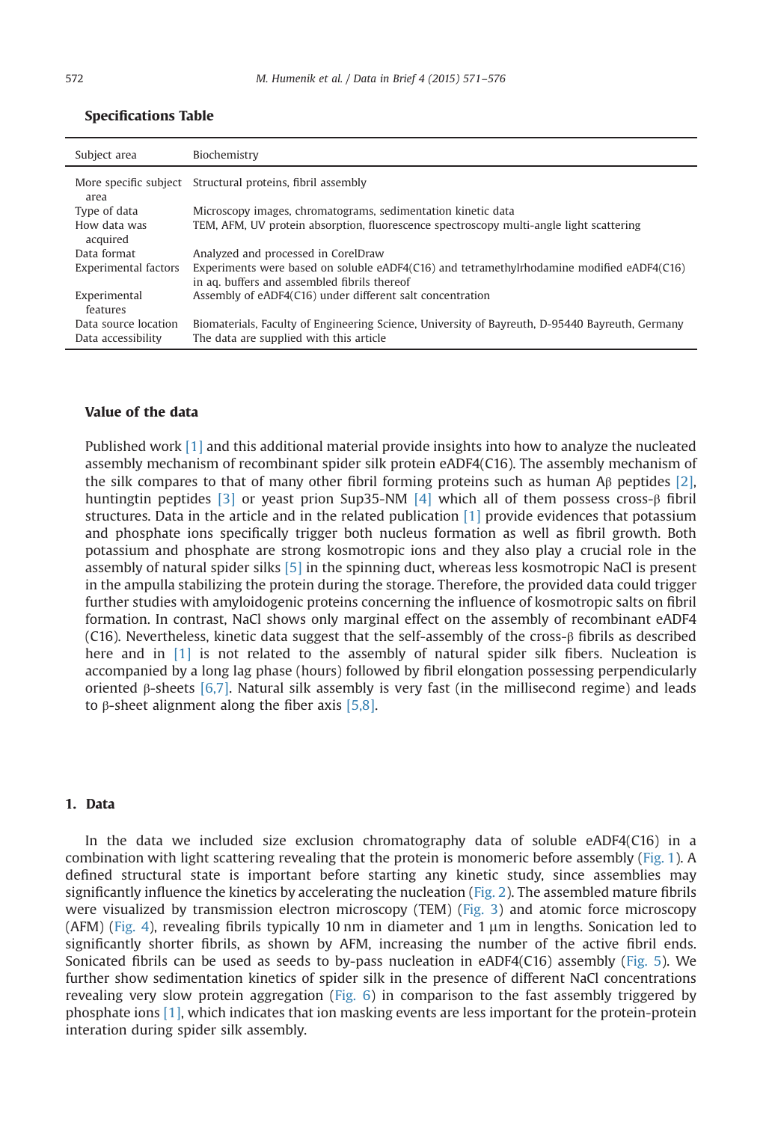| Subject area             | Biochemistry                                                                                                                              |
|--------------------------|-------------------------------------------------------------------------------------------------------------------------------------------|
| area                     | More specific subject Structural proteins, fibril assembly                                                                                |
| Type of data             | Microscopy images, chromatograms, sedimentation kinetic data                                                                              |
| How data was<br>acquired | TEM, AFM, UV protein absorption, fluorescence spectroscopy multi-angle light scattering                                                   |
| Data format              | Analyzed and processed in CorelDraw                                                                                                       |
| Experimental factors     | Experiments were based on soluble eADF4(C16) and tetramethylrhodamine modified eADF4(C16)<br>in aq. buffers and assembled fibrils thereof |
| Experimental<br>features | Assembly of eADF4(C16) under different salt concentration                                                                                 |
| Data source location     | Biomaterials, Faculty of Engineering Science, University of Bayreuth, D-95440 Bayreuth, Germany                                           |
| Data accessibility       | The data are supplied with this article                                                                                                   |

### Specifications Table

#### Value of the data

Published work [\[1\]](#page-4-0) and this additional material provide insights into how to analyze the nucleated assembly mechanism of recombinant spider silk protein eADF4(C16). The assembly mechanism of the silk compares to that of many other fibril forming proteins such as human Aβ peptides [\[2\]](#page-4-0), huntingtin peptides [\[3\]](#page-4-0) or yeast prion Sup35-NM [\[4\]](#page-5-0) which all of them possess cross-β fibril structures. Data in the article and in the related publication [\[1\]](#page-4-0) provide evidences that potassium and phosphate ions specifically trigger both nucleus formation as well as fibril growth. Both potassium and phosphate are strong kosmotropic ions and they also play a crucial role in the assembly of natural spider silks [\[5\]](#page-5-0) in the spinning duct, whereas less kosmotropic NaCl is present in the ampulla stabilizing the protein during the storage. Therefore, the provided data could trigger further studies with amyloidogenic proteins concerning the influence of kosmotropic salts on fibril formation. In contrast, NaCl shows only marginal effect on the assembly of recombinant eADF4 (C16). Nevertheless, kinetic data suggest that the self-assembly of the cross-β fibrils as described here and in [\[1\]](#page-4-0) is not related to the assembly of natural spider silk fibers. Nucleation is accompanied by a long lag phase (hours) followed by fibril elongation possessing perpendicularly oriented β-sheets [\[6,7\].](#page-5-0) Natural silk assembly is very fast (in the millisecond regime) and leads to β-sheet alignment along the fiber axis [\[5,8\]](#page-5-0).

## 1. Data

In the data we included size exclusion chromatography data of soluble eADF4(C16) in a combination with light scattering revealing that the protein is monomeric before assembly ([Fig. 1](#page-2-0)). A defined structural state is important before starting any kinetic study, since assemblies may significantly influence the kinetics by accelerating the nucleation [\(Fig. 2\)](#page-2-0). The assembled mature fibrils were visualized by transmission electron microscopy (TEM) ([Fig. 3](#page-2-0)) and atomic force microscopy (AFM) [\(Fig. 4](#page-3-0)), revealing fibrils typically 10 nm in diameter and 1  $\mu$ m in lengths. Sonication led to significantly shorter fibrils, as shown by AFM, increasing the number of the active fibril ends. Sonicated fibrils can be used as seeds to by-pass nucleation in eADF4(C16) assembly ([Fig. 5](#page-3-0)). We further show sedimentation kinetics of spider silk in the presence of different NaCl concentrations revealing very slow protein aggregation [\(Fig. 6\)](#page-4-0) in comparison to the fast assembly triggered by phosphate ions [\[1\],](#page-4-0) which indicates that ion masking events are less important for the protein-protein interation during spider silk assembly.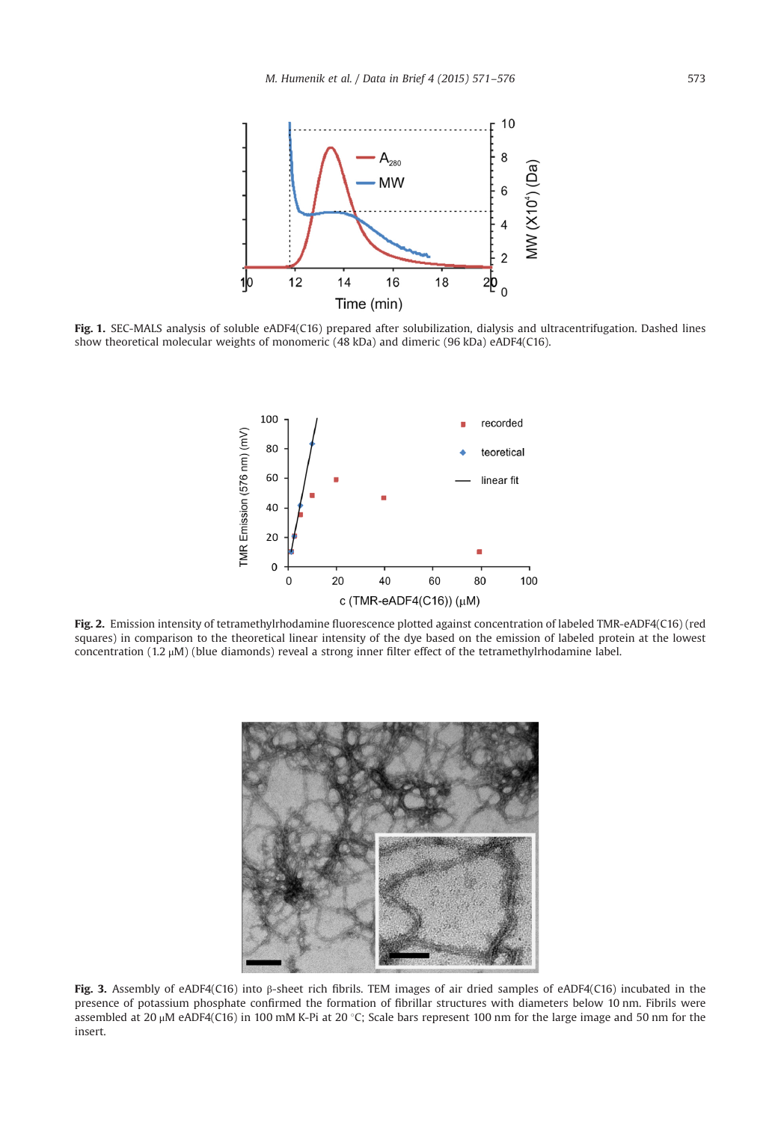<span id="page-2-0"></span>

Fig. 1. SEC-MALS analysis of soluble eADF4(C16) prepared after solubilization, dialysis and ultracentrifugation. Dashed lines show theoretical molecular weights of monomeric (48 kDa) and dimeric (96 kDa) eADF4(C16).



Fig. 2. Emission intensity of tetramethylrhodamine fluorescence plotted against concentration of labeled TMR-eADF4(C16) (red squares) in comparison to the theoretical linear intensity of the dye based on the emission of labeled protein at the lowest concentration (1.2 μM) (blue diamonds) reveal a strong inner filter effect of the tetramethylrhodamine label.



Fig. 3. Assembly of eADF4(C16) into β-sheet rich fibrils. TEM images of air dried samples of eADF4(C16) incubated in the presence of potassium phosphate confirmed the formation of fibrillar structures with diameters below 10 nm. Fibrils were assembled at 20  $\mu$ M eADF4(C16) in 100 mM K-Pi at 20 °C; Scale bars represent 100 nm for the large image and 50 nm for the insert.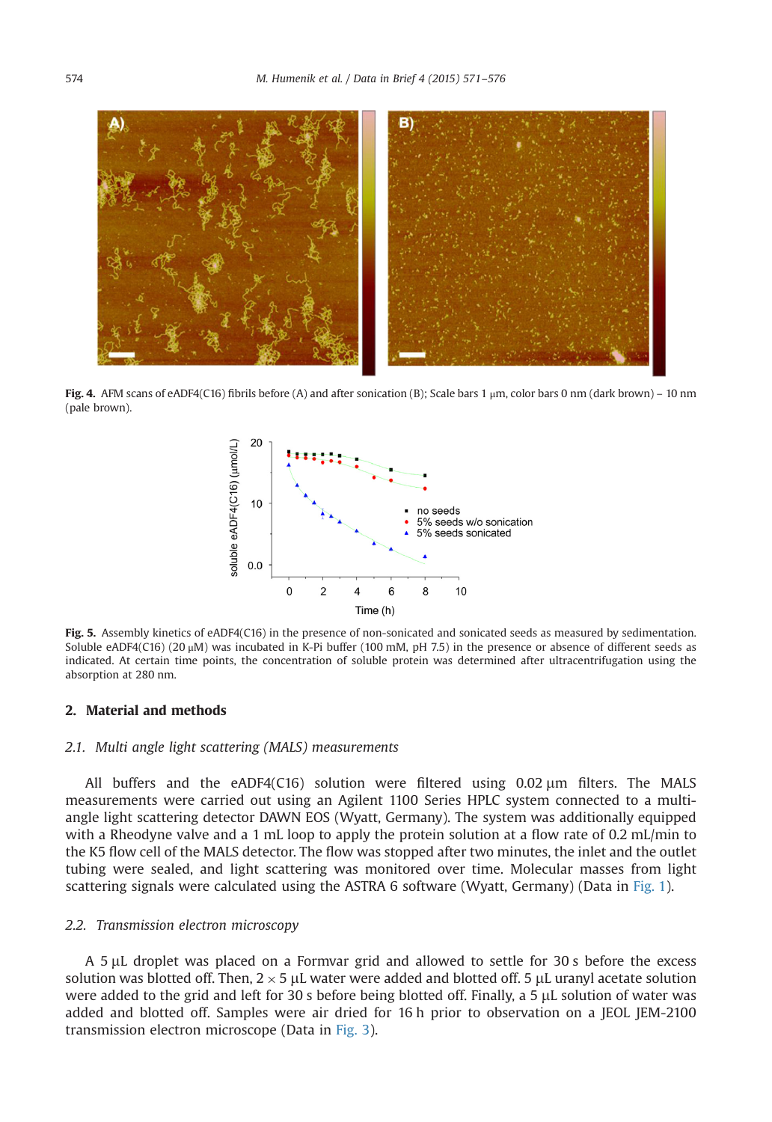<span id="page-3-0"></span>

Fig. 4. AFM scans of eADF4(C16) fibrils before (A) and after sonication (B); Scale bars 1 μm, color bars 0 nm (dark brown) – 10 nm (pale brown).



Fig. 5. Assembly kinetics of eADF4(C16) in the presence of non-sonicated and sonicated seeds as measured by sedimentation. Soluble eADF4(C16) (20 μM) was incubated in K-Pi buffer (100 mM, pH 7.5) in the presence or absence of different seeds as indicated. At certain time points, the concentration of soluble protein was determined after ultracentrifugation using the absorption at 280 nm.

### 2. Material and methods

#### 2.1. Multi angle light scattering (MALS) measurements

All buffers and the eADF4(C16) solution were filtered using  $0.02 \,\mu m$  filters. The MALS measurements were carried out using an Agilent 1100 Series HPLC system connected to a multiangle light scattering detector DAWN EOS (Wyatt, Germany). The system was additionally equipped with a Rheodyne valve and a 1 mL loop to apply the protein solution at a flow rate of 0.2 mL/min to the K5 flow cell of the MALS detector. The flow was stopped after two minutes, the inlet and the outlet tubing were sealed, and light scattering was monitored over time. Molecular masses from light scattering signals were calculated using the ASTRA 6 software (Wyatt, Germany) (Data in [Fig. 1\)](#page-2-0).

#### 2.2. Transmission electron microscopy

A 5 µL droplet was placed on a Formvar grid and allowed to settle for 30 s before the excess solution was blotted off. Then,  $2 \times 5$  µL water were added and blotted off. 5 µL uranyl acetate solution were added to the grid and left for 30 s before being blotted off. Finally, a 5 µL solution of water was added and blotted off. Samples were air dried for 16 h prior to observation on a JEOL JEM-2100 transmission electron microscope (Data in [Fig. 3](#page-2-0)).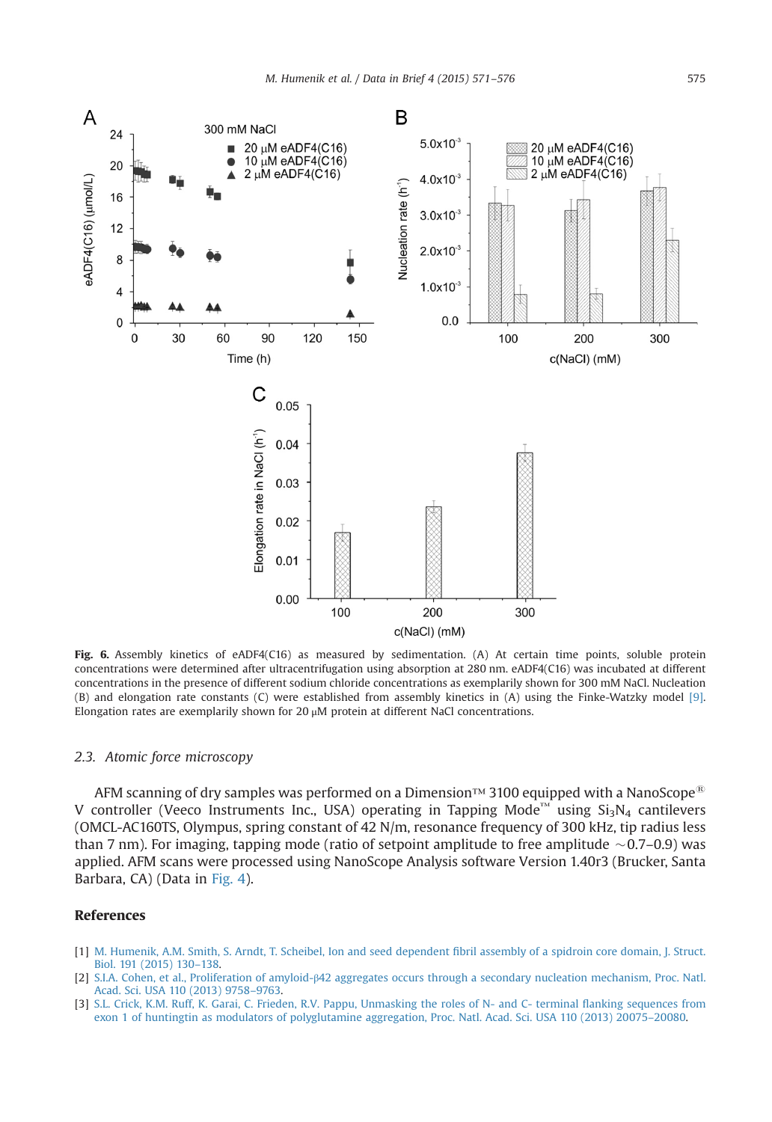<span id="page-4-0"></span>

Fig. 6. Assembly kinetics of eADF4(C16) as measured by sedimentation. (A) At certain time points, soluble protein concentrations were determined after ultracentrifugation using absorption at 280 nm. eADF4(C16) was incubated at different concentrations in the presence of different sodium chloride concentrations as exemplarily shown for 300 mM NaCl. Nucleation (B) and elongation rate constants (C) were established from assembly kinetics in (A) using the Finke-Watzky model [\[9\]](#page-5-0). Elongation rates are exemplarily shown for 20 μM protein at different NaCl concentrations.

# 2.3. Atomic force microscopy

AFM scanning of dry samples was performed on a Dimension™ 3100 equipped with a NanoScope<sup>®</sup> V controller (Veeco Instruments Inc., USA) operating in Tapping Mode™ using  $Si_3N_4$  cantilevers (OMCL-AC160TS, Olympus, spring constant of 42 N/m, resonance frequency of 300 kHz, tip radius less than 7 nm). For imaging, tapping mode (ratio of setpoint amplitude to free amplitude  $\sim$  0.7–0.9) was applied. AFM scans were processed using NanoScope Analysis software Version 1.40r3 (Brucker, Santa Barbara, CA) (Data in [Fig. 4\)](#page-2-0).

## References

- [1] [M. Humenik, A.M. Smith, S. Arndt, T. Scheibel, Ion and seed dependent](http://refhub.elsevier.com/S2352-3409(15)00142-0/sbref1) fibril assembly of a spidroin core domain, J. Struct. [Biol. 191 \(2015\) 130](http://refhub.elsevier.com/S2352-3409(15)00142-0/sbref1)–138.
- [2] S.I.A. Cohen, et al., Proliferation of amyloid-β[42 aggregates occurs through a secondary nucleation mechanism, Proc. Natl.](http://refhub.elsevier.com/S2352-3409(15)00142-0/sbref2) [Acad. Sci. USA 110 \(2013\) 9758](http://refhub.elsevier.com/S2352-3409(15)00142-0/sbref2)–9763.
- [3] [S.L. Crick, K.M. Ruff, K. Garai, C. Frieden, R.V. Pappu, Unmasking the roles of N- and C- terminal](http://refhub.elsevier.com/S2352-3409(15)00142-0/sbref3) flanking sequences from [exon 1 of huntingtin as modulators of polyglutamine aggregation, Proc. Natl. Acad. Sci. USA 110 \(2013\) 20075](http://refhub.elsevier.com/S2352-3409(15)00142-0/sbref3)–20080.